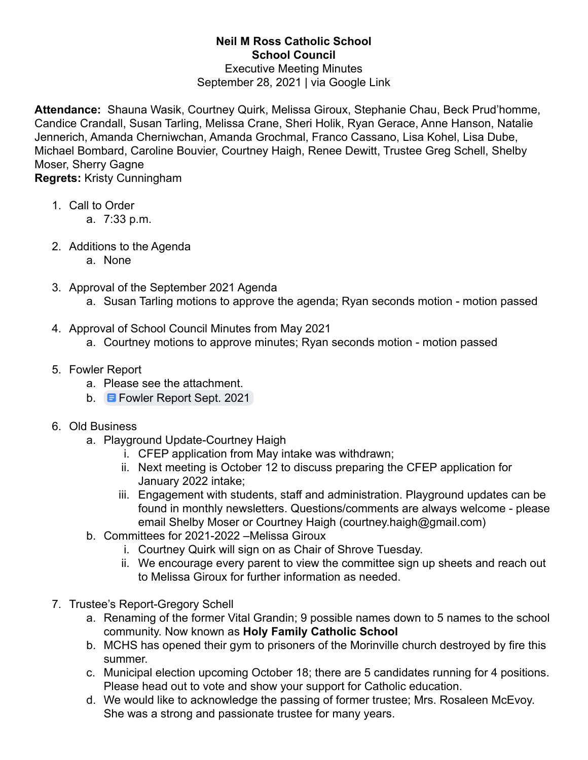## **Neil M Ross Catholic School School Council**

## Executive Meeting Minutes September 28, 2021 | via Google Link

**Attendance:** Shauna Wasik, Courtney Quirk, Melissa Giroux, Stephanie Chau, Beck Prud'homme, Candice Crandall, Susan Tarling, Melissa Crane, Sheri Holik, Ryan Gerace, Anne Hanson, Natalie Jennerich, Amanda Cherniwchan, Amanda Grochmal, Franco Cassano, Lisa Kohel, Lisa Dube, Michael Bombard, Caroline Bouvier, Courtney Haigh, Renee Dewitt, Trustee Greg Schell, Shelby Moser, Sherry Gagne **Regrets:** Kristy Cunningham

1. Call to Order

- a. 7:33 p.m.
- 2. Additions to the Agenda
	- a. None
- 3. Approval of the September 2021 Agenda
	- a. Susan Tarling motions to approve the agenda; Ryan seconds motion motion passed
- 4. Approval of School Council Minutes from May 2021
	- a. Courtney motions to approve minutes; Ryan seconds motion motion passed
- 5. Fowler Report
	- a. Please see the attachment.
	- b. **E** [Fowler Report Sept. 2021](https://docs.google.com/document/d/1wJTd5AOT667Rp0-Qly9FG-F4czQHo4ILKqbQvFsywjI/edit)
- 6. Old Business
	- a. Playground Update-Courtney Haigh
		- i. CFEP application from May intake was withdrawn;
		- ii. Next meeting is October 12 to discuss preparing the CFEP application for January 2022 intake;
		- iii. Engagement with students, staff and administration. Playground updates can be found in monthly newsletters. Questions/comments are always welcome - please email Shelby Moser or Courtney Haigh (courtney.haigh@gmail.com)
	- b. Committees for 2021-2022 –Melissa Giroux
		- i. Courtney Quirk will sign on as Chair of Shrove Tuesday.
			- ii. We encourage every parent to view the committee sign up sheets and reach out to Melissa Giroux for further information as needed.
- 7. Trustee's Report-Gregory Schell
	- a. Renaming of the former Vital Grandin; 9 possible names down to 5 names to the school community. Now known as **Holy Family Catholic School**
	- b. MCHS has opened their gym to prisoners of the Morinville church destroyed by fire this summer.
	- c. Municipal election upcoming October 18; there are 5 candidates running for 4 positions. Please head out to vote and show your support for Catholic education.
	- d. We would like to acknowledge the passing of former trustee; Mrs. Rosaleen McEvoy. She was a strong and passionate trustee for many years.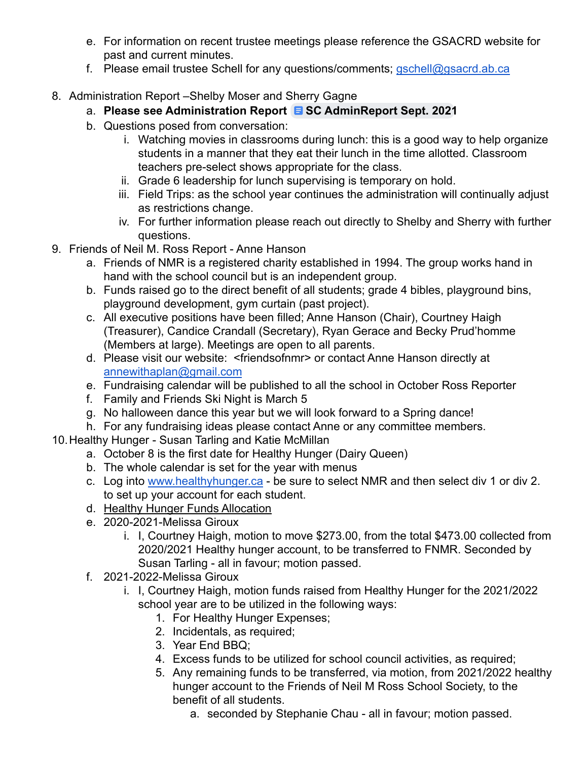- e. For information on recent trustee meetings please reference the GSACRD website for past and current minutes.
- f. Please email trustee Schell for any questions/comments; [gschell@gsacrd.ab.ca](mailto:gschell@gsacrd.ab.ca)
- 8. Administration Report –Shelby Moser and Sherry Gagne
	- a. **Please see Administration Report [SC AdminReport Sept. 2021](https://docs.google.com/document/d/1MLQa9XvYoVpPpmcFNYMXqs3__4hyx9GcZcSahnglDoI/edit)**
	- b. Questions posed from conversation:
		- i. Watching movies in classrooms during lunch: this is a good way to help organize students in a manner that they eat their lunch in the time allotted. Classroom teachers pre-select shows appropriate for the class.
		- ii. Grade 6 leadership for lunch supervising is temporary on hold.
		- iii. Field Trips: as the school year continues the administration will continually adjust as restrictions change.
		- iv. For further information please reach out directly to Shelby and Sherry with further questions.
- 9. Friends of Neil M. Ross Report Anne Hanson
	- a. Friends of NMR is a registered charity established in 1994. The group works hand in hand with the school council but is an independent group.
	- b. Funds raised go to the direct benefit of all students; grade 4 bibles, playground bins, playground development, gym curtain (past project).
	- c. All executive positions have been filled; Anne Hanson (Chair), Courtney Haigh (Treasurer), Candice Crandall (Secretary), Ryan Gerace and Becky Prud'homme (Members at large). Meetings are open to all parents.
	- d. Please visit our website: <friendsofnmr> or contact Anne Hanson directly at [annewithaplan@gmail.com](mailto:annewithaplan@gmail.com)
	- e. Fundraising calendar will be published to all the school in October Ross Reporter
	- f. Family and Friends Ski Night is March 5
	- g. No halloween dance this year but we will look forward to a Spring dance!
	- h. For any fundraising ideas please contact Anne or any committee members.
- 10.Healthy Hunger Susan Tarling and Katie McMillan
	- a. October 8 is the first date for Healthy Hunger (Dairy Queen)
	- b. The whole calendar is set for the year with menus
	- c. Log into [www.healthyhunger.ca](http://www.healthyhunger.ca) be sure to select NMR and then select div 1 or div 2. to set up your account for each student.
	- d. Healthy Hunger Funds Allocation
	- e. 2020-2021-Melissa Giroux
		- i. I, Courtney Haigh, motion to move \$273.00, from the total \$473.00 collected from 2020/2021 Healthy hunger account, to be transferred to FNMR. Seconded by Susan Tarling - all in favour; motion passed.
	- f. 2021-2022-Melissa Giroux
		- i. I, Courtney Haigh, motion funds raised from Healthy Hunger for the 2021/2022 school year are to be utilized in the following ways:
			- 1. For Healthy Hunger Expenses;
			- 2. Incidentals, as required;
			- 3. Year End BBQ;
			- 4. Excess funds to be utilized for school council activities, as required;
			- 5. Any remaining funds to be transferred, via motion, from 2021/2022 healthy hunger account to the Friends of Neil M Ross School Society, to the benefit of all students.
				- a. seconded by Stephanie Chau all in favour; motion passed.